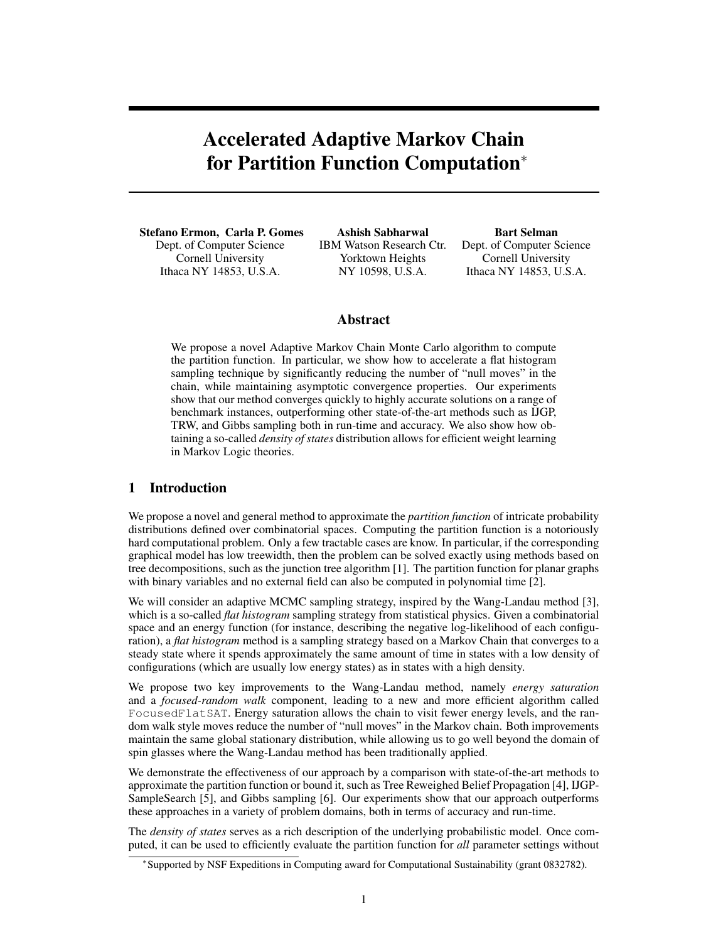# Accelerated Adaptive Markov Chain for Partition Function Computation<sup>∗</sup>

Stefano Ermon, Carla P. Gomes Dept. of Computer Science Cornell University Ithaca NY 14853, U.S.A.

Ashish Sabharwal IBM Watson Research Ctr. Yorktown Heights NY 10598, U.S.A.

Bart Selman Dept. of Computer Science Cornell University Ithaca NY 14853, U.S.A.

# Abstract

We propose a novel Adaptive Markov Chain Monte Carlo algorithm to compute the partition function. In particular, we show how to accelerate a flat histogram sampling technique by significantly reducing the number of "null moves" in the chain, while maintaining asymptotic convergence properties. Our experiments show that our method converges quickly to highly accurate solutions on a range of benchmark instances, outperforming other state-of-the-art methods such as IJGP, TRW, and Gibbs sampling both in run-time and accuracy. We also show how obtaining a so-called *density of states* distribution allows for efficient weight learning in Markov Logic theories.

# 1 Introduction

We propose a novel and general method to approximate the *partition function* of intricate probability distributions defined over combinatorial spaces. Computing the partition function is a notoriously hard computational problem. Only a few tractable cases are know. In particular, if the corresponding graphical model has low treewidth, then the problem can be solved exactly using methods based on tree decompositions, such as the junction tree algorithm [1]. The partition function for planar graphs with binary variables and no external field can also be computed in polynomial time [2].

We will consider an adaptive MCMC sampling strategy, inspired by the Wang-Landau method [3], which is a so-called *flat histogram* sampling strategy from statistical physics. Given a combinatorial space and an energy function (for instance, describing the negative log-likelihood of each configuration), a *flat histogram* method is a sampling strategy based on a Markov Chain that converges to a steady state where it spends approximately the same amount of time in states with a low density of configurations (which are usually low energy states) as in states with a high density.

We propose two key improvements to the Wang-Landau method, namely *energy saturation* and a *focused-random walk* component, leading to a new and more efficient algorithm called FocusedFlatSAT. Energy saturation allows the chain to visit fewer energy levels, and the random walk style moves reduce the number of "null moves" in the Markov chain. Both improvements maintain the same global stationary distribution, while allowing us to go well beyond the domain of spin glasses where the Wang-Landau method has been traditionally applied.

We demonstrate the effectiveness of our approach by a comparison with state-of-the-art methods to approximate the partition function or bound it, such as Tree Reweighed Belief Propagation [4], IJGP-SampleSearch [5], and Gibbs sampling [6]. Our experiments show that our approach outperforms these approaches in a variety of problem domains, both in terms of accuracy and run-time.

The *density of states* serves as a rich description of the underlying probabilistic model. Once computed, it can be used to efficiently evaluate the partition function for *all* parameter settings without

<sup>∗</sup> Supported by NSF Expeditions in Computing award for Computational Sustainability (grant 0832782).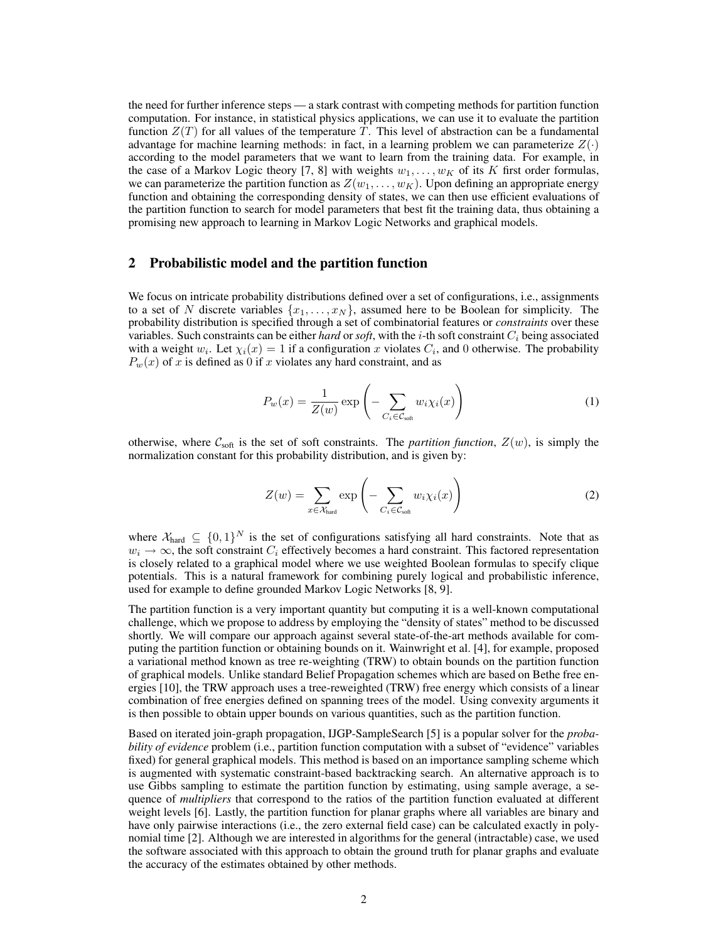the need for further inference steps — a stark contrast with competing methods for partition function computation. For instance, in statistical physics applications, we can use it to evaluate the partition function  $Z(T)$  for all values of the temperature T. This level of abstraction can be a fundamental advantage for machine learning methods: in fact, in a learning problem we can parameterize  $Z(\cdot)$ according to the model parameters that we want to learn from the training data. For example, in the case of a Markov Logic theory [7, 8] with weights  $w_1, \ldots, w_K$  of its K first order formulas, we can parameterize the partition function as  $Z(w_1, \ldots, w_k)$ . Upon defining an appropriate energy function and obtaining the corresponding density of states, we can then use efficient evaluations of the partition function to search for model parameters that best fit the training data, thus obtaining a promising new approach to learning in Markov Logic Networks and graphical models.

### 2 Probabilistic model and the partition function

We focus on intricate probability distributions defined over a set of configurations, i.e., assignments to a set of N discrete variables  $\{x_1, \ldots, x_N\}$ , assumed here to be Boolean for simplicity. The probability distribution is specified through a set of combinatorial features or *constraints* over these variables. Such constraints can be either *hard* or *soft*, with the  $i$ -th soft constraint  $C_i$  being associated with a weight  $w_i$ . Let  $\chi_i(x) = 1$  if a configuration x violates  $C_i$ , and 0 otherwise. The probability  $P_w(x)$  of x is defined as 0 if x violates any hard constraint, and as

$$
P_w(x) = \frac{1}{Z(w)} \exp\left(-\sum_{C_i \in \mathcal{C}_{\text{soft}}} w_i \chi_i(x)\right) \tag{1}
$$

otherwise, where  $C_{\text{soft}}$  is the set of soft constraints. The *partition function*,  $Z(w)$ , is simply the normalization constant for this probability distribution, and is given by:

$$
Z(w) = \sum_{x \in \mathcal{X}_{\text{hard}}} \exp\left(-\sum_{C_i \in \mathcal{C}_{\text{soft}}} w_i \chi_i(x)\right) \tag{2}
$$

where  $\mathcal{X}_{\text{hard}} \subseteq \{0,1\}^N$  is the set of configurations satisfying all hard constraints. Note that as  $w_i \to \infty$ , the soft constraint  $C_i$  effectively becomes a hard constraint. This factored representation is closely related to a graphical model where we use weighted Boolean formulas to specify clique potentials. This is a natural framework for combining purely logical and probabilistic inference, used for example to define grounded Markov Logic Networks [8, 9].

The partition function is a very important quantity but computing it is a well-known computational challenge, which we propose to address by employing the "density of states" method to be discussed shortly. We will compare our approach against several state-of-the-art methods available for computing the partition function or obtaining bounds on it. Wainwright et al. [4], for example, proposed a variational method known as tree re-weighting (TRW) to obtain bounds on the partition function of graphical models. Unlike standard Belief Propagation schemes which are based on Bethe free energies [10], the TRW approach uses a tree-reweighted (TRW) free energy which consists of a linear combination of free energies defined on spanning trees of the model. Using convexity arguments it is then possible to obtain upper bounds on various quantities, such as the partition function.

Based on iterated join-graph propagation, IJGP-SampleSearch [5] is a popular solver for the *probability of evidence* problem (i.e., partition function computation with a subset of "evidence" variables fixed) for general graphical models. This method is based on an importance sampling scheme which is augmented with systematic constraint-based backtracking search. An alternative approach is to use Gibbs sampling to estimate the partition function by estimating, using sample average, a sequence of *multipliers* that correspond to the ratios of the partition function evaluated at different weight levels [6]. Lastly, the partition function for planar graphs where all variables are binary and have only pairwise interactions (i.e., the zero external field case) can be calculated exactly in polynomial time [2]. Although we are interested in algorithms for the general (intractable) case, we used the software associated with this approach to obtain the ground truth for planar graphs and evaluate the accuracy of the estimates obtained by other methods.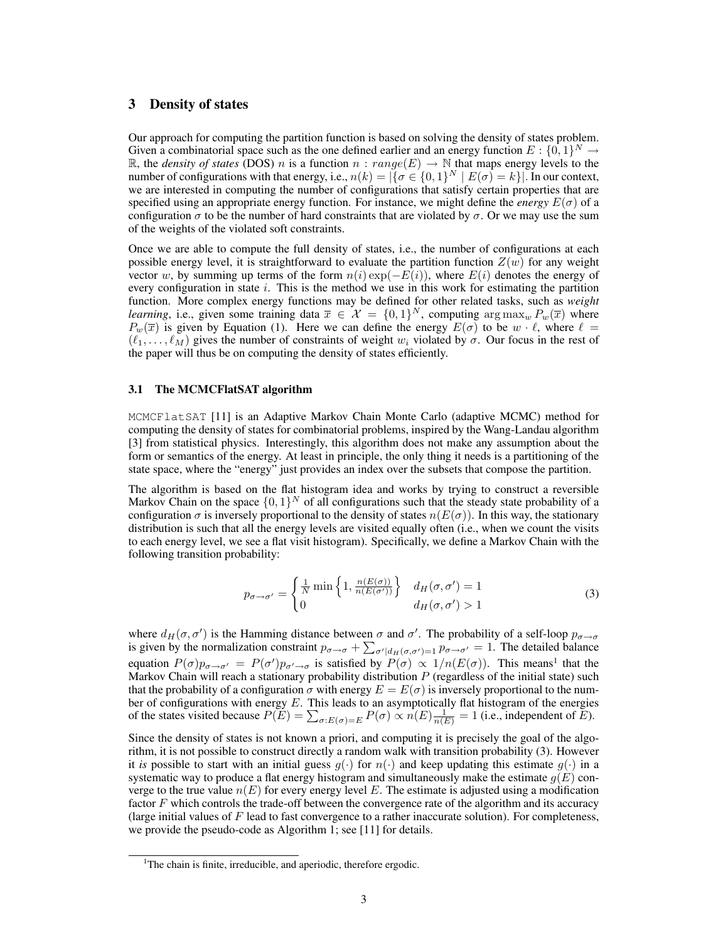# 3 Density of states

Our approach for computing the partition function is based on solving the density of states problem. Given a combinatorial space such as the one defined earlier and an energy function  $E: \{0,1\}^N \to$ R, the *density of states* (DOS) n is a function  $n : range(E) \rightarrow \mathbb{N}$  that maps energy levels to the number of configurations with that energy, i.e.,  $n(k) = |\{\sigma \in \{0,1\}^N \mid E(\sigma) = k\}|$ . In our context, we are interested in computing the number of configurations that satisfy certain properties that are specified using an appropriate energy function. For instance, we might define the *energy*  $E(\sigma)$  of a configuration  $\sigma$  to be the number of hard constraints that are violated by  $\sigma$ . Or we may use the sum of the weights of the violated soft constraints.

Once we are able to compute the full density of states, i.e., the number of configurations at each possible energy level, it is straightforward to evaluate the partition function  $Z(w)$  for any weight vector w, by summing up terms of the form  $n(i)$  exp( $-E(i)$ ), where  $E(i)$  denotes the energy of every configuration in state  $i$ . This is the method we use in this work for estimating the partition function. More complex energy functions may be defined for other related tasks, such as *weight learning*, i.e., given some training data  $\bar{x} \in \mathcal{X} = \{0, 1\}^N$ , computing  $\arg \max_w P_w(\bar{x})$  where  $P_w(\overline{x})$  is given by Equation (1). Here we can define the energy  $E(\sigma)$  to be  $w \cdot \ell$ , where  $\ell =$  $(\ell_1, \ldots, \ell_M)$  gives the number of constraints of weight  $w_i$  violated by  $\sigma$ . Our focus in the rest of the paper will thus be on computing the density of states efficiently.

#### 3.1 The MCMCFlatSAT algorithm

MCMCFlatSAT [11] is an Adaptive Markov Chain Monte Carlo (adaptive MCMC) method for computing the density of states for combinatorial problems, inspired by the Wang-Landau algorithm [3] from statistical physics. Interestingly, this algorithm does not make any assumption about the form or semantics of the energy. At least in principle, the only thing it needs is a partitioning of the state space, where the "energy" just provides an index over the subsets that compose the partition.

The algorithm is based on the flat histogram idea and works by trying to construct a reversible Markov Chain on the space  $\{0,1\}^N$  of all configurations such that the steady state probability of a configuration  $\sigma$  is inversely proportional to the density of states  $n(E(\sigma))$ . In this way, the stationary distribution is such that all the energy levels are visited equally often (i.e., when we count the visits to each energy level, we see a flat visit histogram). Specifically, we define a Markov Chain with the following transition probability:

$$
p_{\sigma \to \sigma'} = \begin{cases} \frac{1}{N} \min\left\{1, \frac{n(E(\sigma))}{n(E(\sigma'))}\right\} & d_H(\sigma, \sigma') = 1\\ 0 & d_H(\sigma, \sigma') > 1 \end{cases}
$$
(3)

where  $d_H(\sigma, \sigma')$  is the Hamming distance between  $\sigma$  and  $\sigma'$ . The probability of a self-loop  $p_{\sigma \to \sigma}$ is given by the normalization constraint  $p_{\sigma \to \sigma} + \sum_{\sigma' | d_H(\sigma, \sigma') = 1} p_{\sigma \to \sigma'} = 1$ . The detailed balance equation  $P(\sigma)p_{\sigma\to\sigma'}=P(\sigma')p_{\sigma'\to\sigma}$  is satisfied by  $P(\sigma)\propto 1/n(E(\sigma))$ . This means<sup>1</sup> that the Markov Chain will reach a stationary probability distribution  $P$  (regardless of the initial state) such that the probability of a configuration  $\sigma$  with energy  $E = E(\sigma)$  is inversely proportional to the number of configurations with energy  $E$ . This leads to an asymptotically flat histogram of the energies of the states visited because  $P(E) = \sum_{\sigma: E(\sigma) = E} P(\sigma) \propto n(E) \frac{1}{n(E)} = 1$  (i.e., independent of E).

Since the density of states is not known a priori, and computing it is precisely the goal of the algorithm, it is not possible to construct directly a random walk with transition probability (3). However it *is* possible to start with an initial guess  $g(\cdot)$  for  $n(\cdot)$  and keep updating this estimate  $g(\cdot)$  in a systematic way to produce a flat energy histogram and simultaneously make the estimate  $g(E)$  converge to the true value  $n(E)$  for every energy level E. The estimate is adjusted using a modification factor F which controls the trade-off between the convergence rate of the algorithm and its accuracy (large initial values of  $F$  lead to fast convergence to a rather inaccurate solution). For completeness, we provide the pseudo-code as Algorithm 1; see [11] for details.

<sup>&</sup>lt;sup>1</sup>The chain is finite, irreducible, and aperiodic, therefore ergodic.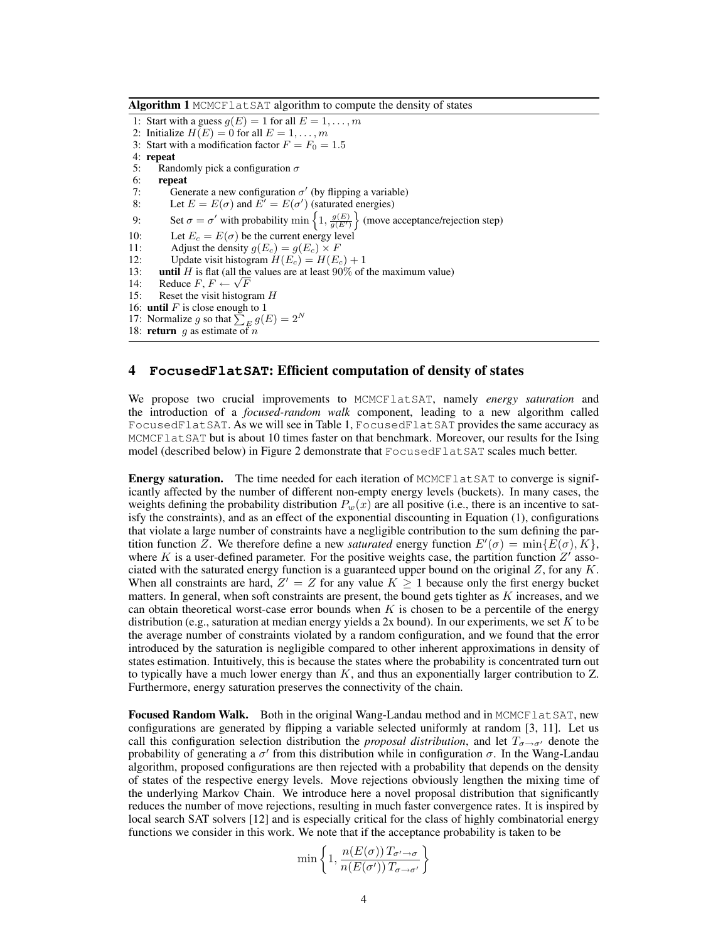Algorithm 1 MCMCFlat SAT algorithm to compute the density of states

1: Start with a guess  $g(E) = 1$  for all  $E = 1, \ldots, m$ 2: Initialize  $H(E) = 0$  for all  $E = 1, \ldots, m$ 3: Start with a modification factor  $F = F_0 = 1.5$ 4: repeat 5: Randomly pick a configuration  $\sigma$ 6: **repeat**<br>7: Gene 7: Generate a new configuration  $\sigma'$  (by flipping a variable) 8: Let  $E = E(\sigma)$  and  $E' = E(\sigma')$  (saturated energies) 9: Set  $\sigma = \sigma'$  with probability min  $\left\{1, \frac{g(E)}{g(E')}\right\}$  (move acceptance/rejection step) 10: Let  $E_c = E(\sigma)$  be the current energy level 11: Adjust the density  $g(E_c) = g(E_c) \times F$ <br>12: Undate visit histogram  $H(E_c) = H(E_c)$ Update visit histogram  $H(E_c) = H(E_c) + 1$ 13: **until** H is flat (all the values are at least 90% of the maximum value) 14: Reduce  $F, F \leftarrow \sqrt{F}$ 15: Reset the visit histogram  $H$ 16: **until**  $F$  is close enough to 1 17: Normalize g so that  $\sum_{E} g(E) = 2^N$ 18: **return** g as estimate of n

## 4 **FocusedFlatSAT**: Efficient computation of density of states

We propose two crucial improvements to MCMCFlatSAT, namely *energy saturation* and the introduction of a *focused-random walk* component, leading to a new algorithm called FocusedFlatSAT. As we will see in Table 1, FocusedFlatSAT provides the same accuracy as MCMCFlatSAT but is about 10 times faster on that benchmark. Moreover, our results for the Ising model (described below) in Figure 2 demonstrate that FocusedFlatSAT scales much better.

**Energy saturation.** The time needed for each iteration of MCMCF lat SAT to converge is significantly affected by the number of different non-empty energy levels (buckets). In many cases, the weights defining the probability distribution  $P_w(x)$  are all positive (i.e., there is an incentive to satisfy the constraints), and as an effect of the exponential discounting in Equation (1), configurations that violate a large number of constraints have a negligible contribution to the sum defining the partition function Z. We therefore define a new *saturated* energy function  $E'(\sigma) = \min\{E(\sigma), K\}$ , where K is a user-defined parameter. For the positive weights case, the partition function  $Z'$  associated with the saturated energy function is a guaranteed upper bound on the original  $Z$ , for any  $K$ . When all constraints are hard,  $Z' = Z$  for any value  $K \geq 1$  because only the first energy bucket matters. In general, when soft constraints are present, the bound gets tighter as  $K$  increases, and we can obtain theoretical worst-case error bounds when  $K$  is chosen to be a percentile of the energy distribution (e.g., saturation at median energy yields a 2x bound). In our experiments, we set  $K$  to be the average number of constraints violated by a random configuration, and we found that the error introduced by the saturation is negligible compared to other inherent approximations in density of states estimation. Intuitively, this is because the states where the probability is concentrated turn out to typically have a much lower energy than  $K$ , and thus an exponentially larger contribution to  $Z$ . Furthermore, energy saturation preserves the connectivity of the chain.

Focused Random Walk. Both in the original Wang-Landau method and in MCMCFlatSAT, new configurations are generated by flipping a variable selected uniformly at random [3, 11]. Let us call this configuration selection distribution the *proposal distribution*, and let  $T_{\sigma \to \sigma'}$  denote the probability of generating a  $\sigma'$  from this distribution while in configuration  $\sigma$ . In the Wang-Landau algorithm, proposed configurations are then rejected with a probability that depends on the density of states of the respective energy levels. Move rejections obviously lengthen the mixing time of the underlying Markov Chain. We introduce here a novel proposal distribution that significantly reduces the number of move rejections, resulting in much faster convergence rates. It is inspired by local search SAT solvers [12] and is especially critical for the class of highly combinatorial energy functions we consider in this work. We note that if the acceptance probability is taken to be

$$
\min\left\{1,\frac{n(E(\sigma))T_{\sigma'\to\sigma}}{n(E(\sigma'))T_{\sigma\to\sigma'}}\right\}
$$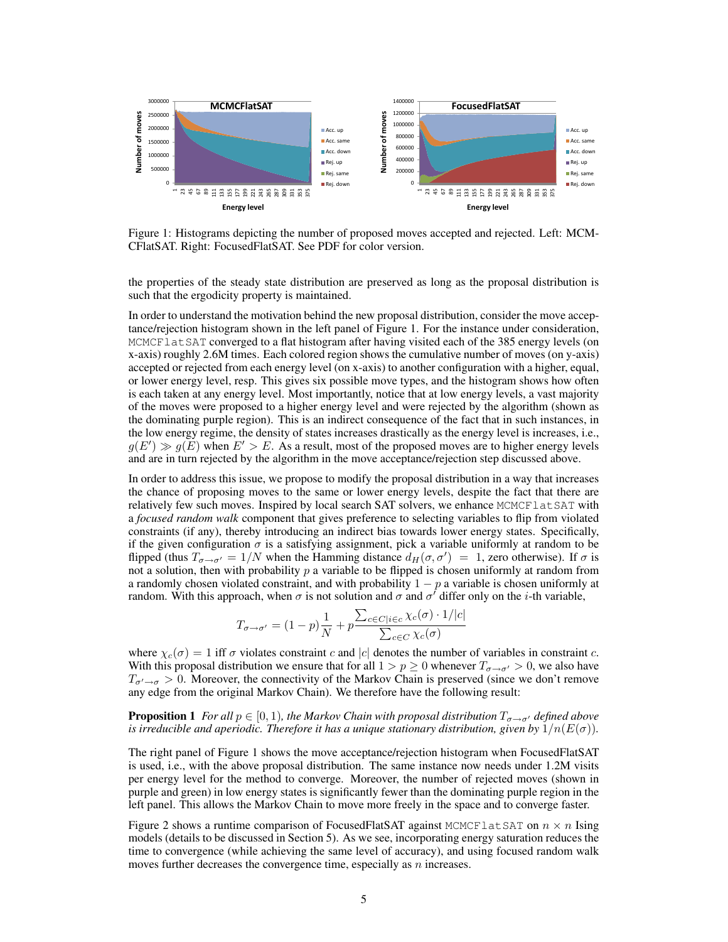

Figure 1: Histograms depicting the number of proposed moves accepted and rejected. Left: MCM-CFlatSAT. Right: FocusedFlatSAT. See PDF for color version.

the properties of the steady state distribution are preserved as long as the proposal distribution is such that the ergodicity property is maintained.

In order to understand the motivation behind the new proposal distribution, consider the move acceptance/rejection histogram shown in the left panel of Figure 1. For the instance under consideration, MCMCFlatSAT converged to a flat histogram after having visited each of the 385 energy levels (on x-axis) roughly 2.6M times. Each colored region shows the cumulative number of moves (on y-axis) accepted or rejected from each energy level (on x-axis) to another configuration with a higher, equal, or lower energy level, resp. This gives six possible move types, and the histogram shows how often is each taken at any energy level. Most importantly, notice that at low energy levels, a vast majority of the moves were proposed to a higher energy level and were rejected by the algorithm (shown as the dominating purple region). This is an indirect consequence of the fact that in such instances, in the low energy regime, the density of states increases drastically as the energy level is increases, i.e.,  $g(E') \gg g(E)$  when  $E' > E$ . As a result, most of the proposed moves are to higher energy levels and are in turn rejected by the algorithm in the move acceptance/rejection step discussed above.

In order to address this issue, we propose to modify the proposal distribution in a way that increases the chance of proposing moves to the same or lower energy levels, despite the fact that there are relatively few such moves. Inspired by local search SAT solvers, we enhance MCMCF lat SAT with a *focused random walk* component that gives preference to selecting variables to flip from violated constraints (if any), thereby introducing an indirect bias towards lower energy states. Specifically, if the given configuration  $\sigma$  is a satisfying assignment, pick a variable uniformly at random to be flipped (thus  $T_{\sigma\to\sigma'}=1/N$  when the Hamming distance  $d_H(\sigma,\sigma')=1$ , zero otherwise). If  $\sigma$  is not a solution, then with probability  $p$  a variable to be flipped is chosen uniformly at random from a randomly chosen violated constraint, and with probability  $1 - p$  a variable is chosen uniformly at random. With this approach, when  $\sigma$  is not solution and  $\sigma$  and  $\sigma'$  differ only on the *i*-th variable,

$$
T_{\sigma \to \sigma'} = (1 - p)\frac{1}{N} + p \frac{\sum_{c \in C | i \in c} \chi_c(\sigma) \cdot 1/|c|}{\sum_{c \in C} \chi_c(\sigma)}
$$

where  $\chi_c(\sigma) = 1$  iff  $\sigma$  violates constraint c and |c| denotes the number of variables in constraint c. With this proposal distribution we ensure that for all  $1 > p \ge 0$  whenever  $T_{\sigma \to \sigma'} > 0$ , we also have  $T_{\sigma'\to\sigma} > 0$ . Moreover, the connectivity of the Markov Chain is preserved (since we don't remove any edge from the original Markov Chain). We therefore have the following result:

**Proposition 1** *For all*  $p \in [0, 1)$ *, the Markov Chain with proposal distribution*  $T_{\sigma \to \sigma'}$  *defined above is irreducible and aperiodic. Therefore it has a unique stationary distribution, given by*  $1/n(E(\sigma))$ *.* 

The right panel of Figure 1 shows the move acceptance/rejection histogram when FocusedFlatSAT is used, i.e., with the above proposal distribution. The same instance now needs under 1.2M visits per energy level for the method to converge. Moreover, the number of rejected moves (shown in purple and green) in low energy states is significantly fewer than the dominating purple region in the left panel. This allows the Markov Chain to move more freely in the space and to converge faster.

Figure 2 shows a runtime comparison of FocusedFlatSAT against MCMCFlatSAT on  $n \times n$  Ising models (details to be discussed in Section 5). As we see, incorporating energy saturation reduces the time to convergence (while achieving the same level of accuracy), and using focused random walk moves further decreases the convergence time, especially as  $n$  increases.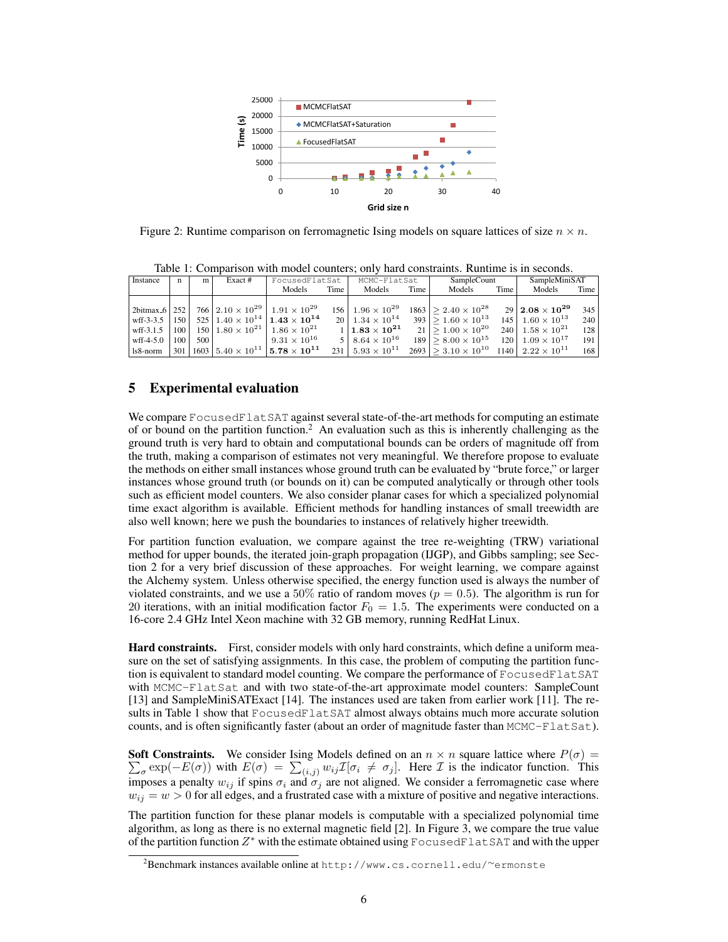

Figure 2: Runtime comparison on ferromagnetic Ising models on square lattices of size  $n \times n$ .

Table 1: Comparison with model counters; only hard constraints. Runtime is in seconds. Instance n m Exact # FocusedFlatSat MCMC-FlatSat SampleCount SampleMiniSAT

|                                    |                  |                  | Models                                                                                    | Time | Models                         | Time | Models                                       | Time | Models                         | Time |
|------------------------------------|------------------|------------------|-------------------------------------------------------------------------------------------|------|--------------------------------|------|----------------------------------------------|------|--------------------------------|------|
|                                    |                  |                  |                                                                                           |      |                                |      |                                              |      |                                |      |
| $\frac{12 \text{bitmax}}{6}$   252 |                  |                  | 766   $2.10 \times 10^{29}$   $1.91 \times 10^{29}$                                       |      | $156 \mid 1.96 \times 10^{29}$ |      | $1863 \mid$ > 2.40 $\times 10^{28}$          |      | $29$   $2.08\times10^{29}$     | 345  |
| $wff - 3 - 3.5$                    | 150 <sup>1</sup> |                  | 525   $1.40 \times 10^{14}$   $1.43 \times 10^{14}$                                       |      | $20 \mid 1.34 \times 10^{14}$  |      | $393 \mid$ > 1.60 $\times 10^{13}$           |      | $145 \mid 1.60 \times 10^{13}$ | 240  |
| wff-3.1.5                          | 100 <sup>1</sup> |                  | $150 1.80\times10^{21} 1.86\times10^{21}$                                                 |      | $1\, \,1.83\times10^{21}$      |      | $21 \mid$ > 1.00 $\times 10^{20}$            |      | 240 $1.58 \times 10^{21}$      | 128  |
| $wff-4-5.0$                        | 100 <sup>1</sup> | 500 <sub>1</sub> | $9.31 \times 10^{16}$                                                                     |      | 5   $8.64 \times 10^{16}$      |      | $189 \mid$ > 8.00 $\times 10^{15}$           |      | $120 \mid 1.09 \times 10^{17}$ | 191  |
| l 1s8-norm                         |                  |                  | 301   1603   5.40 $\times$ 10 <sup>11</sup>   <b>5.78</b> $\times$ <b>10<sup>11</sup></b> |      | $231 \mid 5.93 \times 10^{11}$ |      | $2693 \mid$ > 3.10 $\times$ 10 <sup>10</sup> |      | $1140$   $2.22 \times 10^{11}$ | 168  |

# 5 Experimental evaluation

We compare FocusedFlatSAT against several state-of-the-art methods for computing an estimate of or bound on the partition function.<sup>2</sup> An evaluation such as this is inherently challenging as the ground truth is very hard to obtain and computational bounds can be orders of magnitude off from the truth, making a comparison of estimates not very meaningful. We therefore propose to evaluate the methods on either small instances whose ground truth can be evaluated by "brute force," or larger instances whose ground truth (or bounds on it) can be computed analytically or through other tools such as efficient model counters. We also consider planar cases for which a specialized polynomial time exact algorithm is available. Efficient methods for handling instances of small treewidth are also well known; here we push the boundaries to instances of relatively higher treewidth.

For partition function evaluation, we compare against the tree re-weighting (TRW) variational method for upper bounds, the iterated join-graph propagation (IJGP), and Gibbs sampling; see Section 2 for a very brief discussion of these approaches. For weight learning, we compare against the Alchemy system. Unless otherwise specified, the energy function used is always the number of violated constraints, and we use a 50% ratio of random moves ( $p = 0.5$ ). The algorithm is run for 20 iterations, with an initial modification factor  $F_0 = 1.5$ . The experiments were conducted on a 16-core 2.4 GHz Intel Xeon machine with 32 GB memory, running RedHat Linux.

Hard constraints. First, consider models with only hard constraints, which define a uniform measure on the set of satisfying assignments. In this case, the problem of computing the partition function is equivalent to standard model counting. We compare the performance of FocusedFlatSAT with MCMC-FlatSat and with two state-of-the-art approximate model counters: SampleCount [13] and SampleMiniSATExact [14]. The instances used are taken from earlier work [11]. The results in Table 1 show that FocusedFlatSAT almost always obtains much more accurate solution counts, and is often significantly faster (about an order of magnitude faster than MCMC-FlatSat).

 $\sum_{\sigma} \exp(-E(\sigma))$  with  $E(\sigma) = \sum_{(i,j)} w_{ij} \mathcal{I}[\sigma_i \neq \sigma_j]$ . Here  $\mathcal I$  is the indicator function. This **Soft Constraints.** We consider Ising Models defined on an  $n \times n$  square lattice where  $P(\sigma)$  = imposes a penalty  $w_{ij}$  if spins  $\sigma_i$  and  $\sigma_j$  are not aligned. We consider a ferromagnetic case where  $w_{ij} = w > 0$  for all edges, and a frustrated case with a mixture of positive and negative interactions.

The partition function for these planar models is computable with a specialized polynomial time algorithm, as long as there is no external magnetic field [2]. In Figure 3, we compare the true value of the partition function  $Z^*$  with the estimate obtained using FocusedFlatSAT and with the upper

<sup>2</sup>Benchmark instances available online at http://www.cs.cornell.edu/∼ermonste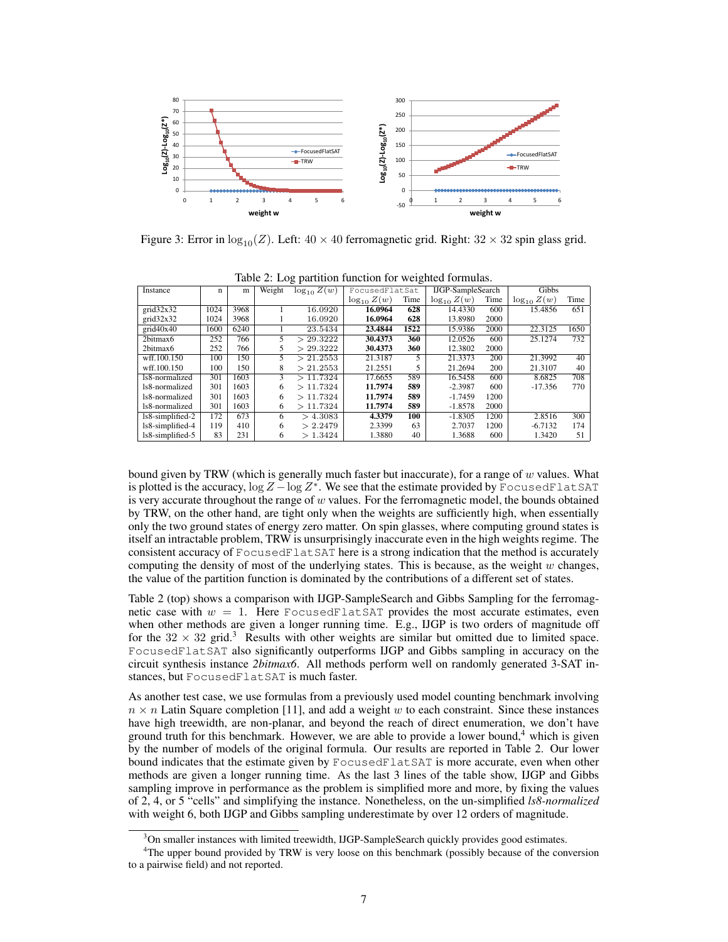

Figure 3: Error in  $\log_{10}(Z)$ . Left:  $40 \times 40$  ferromagnetic grid. Right:  $32 \times 32$  spin glass grid.

| $\sqrt{2}$       |      |      |        |                             |                  |      |                          |      |                  |      |
|------------------|------|------|--------|-----------------------------|------------------|------|--------------------------|------|------------------|------|
| Instance         | n    | m    | Weight | $\log_{10} \overline{Z(w)}$ | FocusedFlatSat   |      | <b>IJGP-SampleSearch</b> |      | Gibbs            |      |
|                  |      |      |        |                             | $\log_{10} Z(w)$ | Time | $\log_{10} Z(w)$         | Time | $\log_{10} Z(w)$ | Time |
| grid32x32        | 1024 | 3968 |        | 16.0920                     | 16.0964          | 628  | 14.4330                  | 600  | 15.4856          | 651  |
| grid32x32        | 1024 | 3968 |        | 16.0920                     | 16.0964          | 628  | 13.8980                  | 2000 |                  |      |
| grid40x40        | 1600 | 6240 |        | 23.5434                     | 23.4844          | 1522 | 15.9386                  | 2000 | 22.3125          | 1650 |
| 2bitmax6         | 252  | 766  | 5.     | 29.3222<br>↘                | 30.4373          | 360  | 12.0526                  | 600  | 25.1274          | 732  |
| 2bitmax6         | 252  | 766  | 5      | > 29.3222                   | 30.4373          | 360  | 12.3802                  | 2000 |                  |      |
| wff.100.150      | 100  | 150  | 5      | >21.2553                    | 21.3187          | 5    | 21.3373                  | 200  | 21.3992          | 40   |
| wff.100.150      | 100  | 150  | 8      | > 21.2553                   | 21.2551          | 5    | 21.2694                  | 200  | 21.3107          | 40   |
| 1s8-normalized   | 301  | 1603 | 3      | >11.7324                    | 17.6655          | 589  | 16.5458                  | 600  | 8.6825           | 708  |
| 1s8-normalized   | 301  | 1603 | 6      | >11.7324                    | 11.7974          | 589  | $-2.3987$                | 600  | $-17.356$        | 770  |
| 1s8-normalized   | 301  | 1603 | 6      | >11.7324                    | 11.7974          | 589  | $-1.7459$                | 1200 |                  |      |
| 1s8-normalized   | 301  | 1603 | 6      | >11.7324                    | 11.7974          | 589  | $-1.8578$                | 2000 |                  |      |
| ls8-simplified-2 | 172  | 673  | 6      | > 4.3083                    | 4.3379           | 100  | $-1.8305$                | 1200 | 2.8516           | 300  |
| ls8-simplified-4 | 119  | 410  | 6      | > 2.2479                    | 2.3399           | 63   | 2.7037                   | 1200 | $-6.7132$        | 174  |
| ls8-simplified-5 | 83   | 231  | 6      | >1.3424                     | 1.3880           | 40   | 1.3688                   | 600  | 1.3420           | 51   |

Table 2: Log partition function for weighted formulas.

bound given by TRW (which is generally much faster but inaccurate), for a range of  $w$  values. What is plotted is the accuracy,  $\log Z - \log Z^*$ . We see that the estimate provided by FocusedFlatSAT is very accurate throughout the range of  $w$  values. For the ferromagnetic model, the bounds obtained by TRW, on the other hand, are tight only when the weights are sufficiently high, when essentially only the two ground states of energy zero matter. On spin glasses, where computing ground states is itself an intractable problem, TRW is unsurprisingly inaccurate even in the high weights regime. The consistent accuracy of FocusedFlatSAT here is a strong indication that the method is accurately computing the density of most of the underlying states. This is because, as the weight  $w$  changes, the value of the partition function is dominated by the contributions of a different set of states.

Table 2 (top) shows a comparison with IJGP-SampleSearch and Gibbs Sampling for the ferromagnetic case with  $w = 1$ . Here FocusedFlatSAT provides the most accurate estimates, even when other methods are given a longer running time. E.g., IJGP is two orders of magnitude off for the  $32 \times 32$  grid.<sup>3</sup> Results with other weights are similar but omitted due to limited space. FocusedFlatSAT also significantly outperforms IJGP and Gibbs sampling in accuracy on the circuit synthesis instance *2bitmax6*. All methods perform well on randomly generated 3-SAT instances, but FocusedFlatSAT is much faster.

As another test case, we use formulas from a previously used model counting benchmark involving  $n \times n$  Latin Square completion [11], and add a weight w to each constraint. Since these instances have high treewidth, are non-planar, and beyond the reach of direct enumeration, we don't have ground truth for this benchmark. However, we are able to provide a lower bound, $4$  which is given by the number of models of the original formula. Our results are reported in Table 2. Our lower bound indicates that the estimate given by FocusedFlatSAT is more accurate, even when other methods are given a longer running time. As the last 3 lines of the table show, IJGP and Gibbs sampling improve in performance as the problem is simplified more and more, by fixing the values of 2, 4, or 5 "cells" and simplifying the instance. Nonetheless, on the un-simplified *ls8-normalized* with weight 6, both IJGP and Gibbs sampling underestimate by over 12 orders of magnitude.

 $3$ On smaller instances with limited treewidth, IJGP-SampleSearch quickly provides good estimates.

<sup>&</sup>lt;sup>4</sup>The upper bound provided by TRW is very loose on this benchmark (possibly because of the conversion to a pairwise field) and not reported.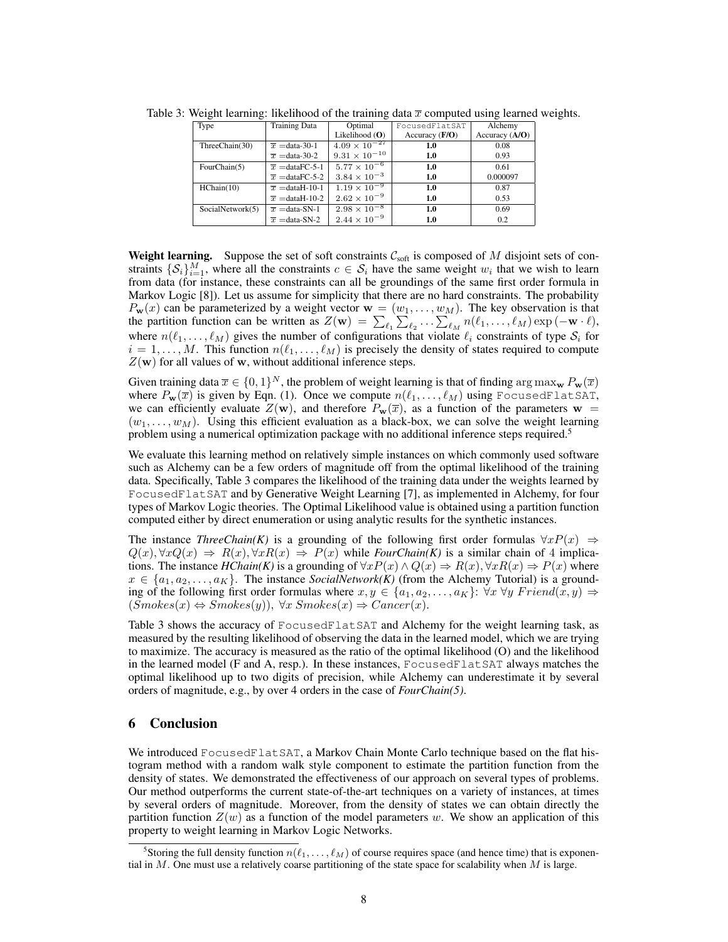| Type             | <b>Training Data</b>        | Optimal                | FocusedFlatSAT   | Alchemy          |
|------------------|-----------------------------|------------------------|------------------|------------------|
|                  |                             | Likelihood $(O)$       | Accuracy $(F/O)$ | Accuracy $(A/O)$ |
| ThreeChain(30)   | $\overline{x}$ = data-30-1  | $4.09 \times 10^{-27}$ | 1.0              | 0.08             |
|                  | $\overline{x}$ = data-30-2  | $9.31 \times 10^{-10}$ | 1.0              | 0.93             |
| FourChain(5)     | $\overline{x}$ = dataFC-5-1 | $5.77 \times 10^{-6}$  | 1.0              | 0.61             |
|                  | $\overline{x}$ = dataFC-5-2 | $3.84 \times 10^{-3}$  | 1.0              | 0.000097         |
| HChain(10)       | $\overline{x}$ = dataH-10-1 | $1.19 \times 10^{-9}$  | 1.0              | 0.87             |
|                  | $\overline{x}$ = dataH-10-2 | $2.62 \times 10^{-9}$  | 1.0              | 0.53             |
| SocialNetwork(5) | $\overline{x}$ = data-SN-1  | $2.98 \times 10^{-8}$  | 1.0              | 0.69             |
|                  | $\overline{x}$ = data-SN-2  | $2.44 \times 10^{-9}$  | 1.0              | 0.2              |

Table 3: Weight learning: likelihood of the training data  $\bar{x}$  computed using learned weights.

**Weight learning.** Suppose the set of soft constraints  $C_{\text{soft}}$  is composed of M disjoint sets of constraints  $\{\mathcal{S}_i\}_{i=1}^M$ , where all the constraints  $c \in \mathcal{S}_i$  have the same weight  $w_i$  that we wish to learn from data (for instance, these constraints can all be groundings of the same first order formula in Markov Logic [8]). Let us assume for simplicity that there are no hard constraints. The probability  $P_w(x)$  can be parameterized by a weight vector  $w = (w_1, \dots, w_M)$ . The key observation is that the partition function can be written as  $Z(\mathbf{w}) = \sum_{\ell_1} \sum_{\ell_2} \ldots \sum_{\ell_M} n(\ell_1, \ldots, \ell_M) \exp(-\mathbf{w} \cdot \ell),$ where  $n(\ell_1, \ldots, \ell_M)$  gives the number of configurations that violate  $\ell_i$  constraints of type  $S_i$  for  $i = 1, \ldots, M$ . This function  $n(\ell_1, \ldots, \ell_M)$  is precisely the density of states required to compute  $Z(\mathbf{w})$  for all values of w, without additional inference steps.

Given training data  $\bar{x} \in \{0,1\}^N$ , the problem of weight learning is that of finding  $\arg \max_{\mathbf{w}} P_{\mathbf{w}}(\bar{x})$ where  $P_{\mathbf{w}}(\overline{x})$  is given by Eqn. (1). Once we compute  $n(\ell_1, \ldots, \ell_M)$  using FocusedFlatSAT, we can efficiently evaluate  $Z(\mathbf{w})$ , and therefore  $P_\mathbf{w}(\overline{x})$ , as a function of the parameters  $\mathbf{w} =$  $(w_1, \ldots, w_M)$ . Using this efficient evaluation as a black-box, we can solve the weight learning problem using a numerical optimization package with no additional inference steps required.<sup>5</sup>

We evaluate this learning method on relatively simple instances on which commonly used software such as Alchemy can be a few orders of magnitude off from the optimal likelihood of the training data. Specifically, Table 3 compares the likelihood of the training data under the weights learned by FocusedFlatSAT and by Generative Weight Learning [7], as implemented in Alchemy, for four types of Markov Logic theories. The Optimal Likelihood value is obtained using a partition function computed either by direct enumeration or using analytic results for the synthetic instances.

The instance *ThreeChain(K)* is a grounding of the following first order formulas  $\forall x P(x) \Rightarrow$  $Q(x), \forall x Q(x) \Rightarrow R(x), \forall x R(x) \Rightarrow P(x)$  while *FourChain(K)* is a similar chain of 4 implications. The instance  $HChain(K)$  is a grounding of  $\forall x P(x) \land Q(x) \Rightarrow R(x), \forall x R(x) \Rightarrow P(x)$  where  $x \in \{a_1, a_2, \ldots, a_K\}$ . The instance *SocialNetwork(K)* (from the Alchemy Tutorial) is a grounding of the following first order formulas where  $x, y \in \{a_1, a_2, \ldots, a_K\}$ :  $\forall x \forall y$  Friend $(x, y) \Rightarrow$  $(Smokes(x) \Leftrightarrow Smokes(y)), \forall x \; Smokes(x) \Rightarrow Cancer(x).$ 

Table 3 shows the accuracy of FocusedFlatSAT and Alchemy for the weight learning task, as measured by the resulting likelihood of observing the data in the learned model, which we are trying to maximize. The accuracy is measured as the ratio of the optimal likelihood (O) and the likelihood in the learned model (F and A, resp.). In these instances, FocusedFlatSAT always matches the optimal likelihood up to two digits of precision, while Alchemy can underestimate it by several orders of magnitude, e.g., by over 4 orders in the case of *FourChain(5)*.

# 6 Conclusion

We introduced FocusedFlatSAT, a Markov Chain Monte Carlo technique based on the flat histogram method with a random walk style component to estimate the partition function from the density of states. We demonstrated the effectiveness of our approach on several types of problems. Our method outperforms the current state-of-the-art techniques on a variety of instances, at times by several orders of magnitude. Moreover, from the density of states we can obtain directly the partition function  $Z(w)$  as a function of the model parameters w. We show an application of this property to weight learning in Markov Logic Networks.

<sup>&</sup>lt;sup>5</sup>Storing the full density function  $n(\ell_1, \ldots, \ell_M)$  of course requires space (and hence time) that is exponential in  $M$ . One must use a relatively coarse partitioning of the state space for scalability when  $M$  is large.